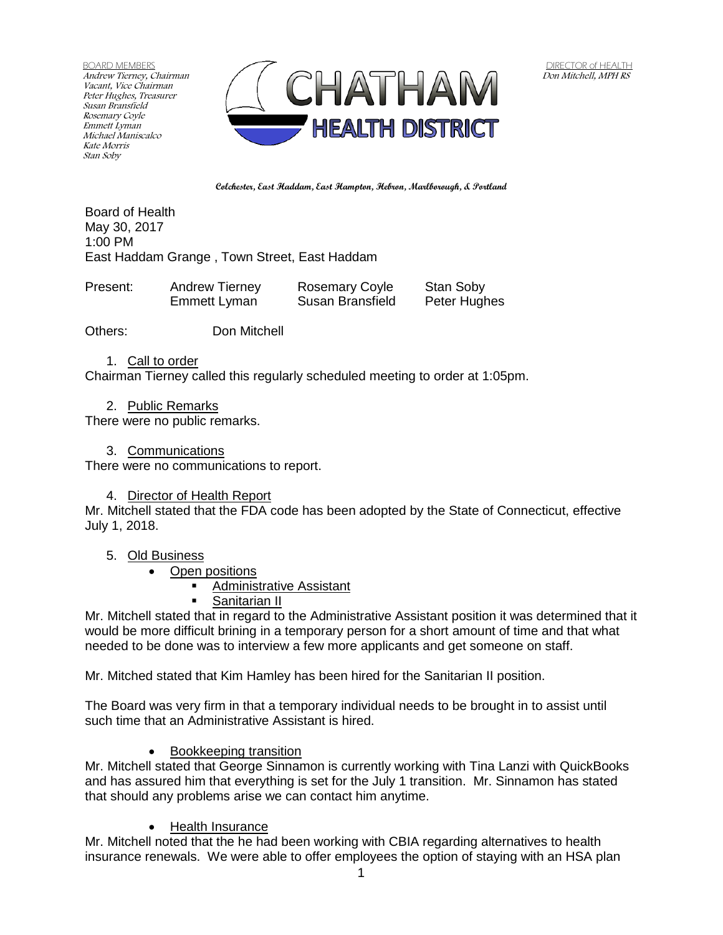BOARD MEMBERS Andrew Tierney, Chairman Vacant, Vice Chairman Peter Hughes, Treasurer Susan Bransfield Rosemary Coyle Emmett Lyman Michael Maniscalco Kate Morris Stan Soby



**Colchester, East Haddam, East Hampton, Hebron, Marlborough, & Portland**

Board of Health May 30, 2017 1:00 PM East Haddam Grange , Town Street, East Haddam

| Present: | <b>Andrew Tierney</b> | <b>Rosemary Coyle</b> | Stan Soby    |
|----------|-----------------------|-----------------------|--------------|
|          | Emmett Lyman          | Susan Bransfield      | Peter Hughes |

Others: Don Mitchell

1. Call to order

Chairman Tierney called this regularly scheduled meeting to order at 1:05pm.

2. Public Remarks

There were no public remarks.

## 3. Communications

There were no communications to report.

## 4. Director of Health Report

Mr. Mitchell stated that the FDA code has been adopted by the State of Connecticut, effective July 1, 2018.

## 5. Old Business

- Open positions
	- Administrative Assistant
	- Sanitarian II

Mr. Mitchell stated that in regard to the Administrative Assistant position it was determined that it would be more difficult brining in a temporary person for a short amount of time and that what needed to be done was to interview a few more applicants and get someone on staff.

Mr. Mitched stated that Kim Hamley has been hired for the Sanitarian II position.

The Board was very firm in that a temporary individual needs to be brought in to assist until such time that an Administrative Assistant is hired.

• Bookkeeping transition

Mr. Mitchell stated that George Sinnamon is currently working with Tina Lanzi with QuickBooks and has assured him that everything is set for the July 1 transition. Mr. Sinnamon has stated that should any problems arise we can contact him anytime.

• Health Insurance

Mr. Mitchell noted that the he had been working with CBIA regarding alternatives to health insurance renewals. We were able to offer employees the option of staying with an HSA plan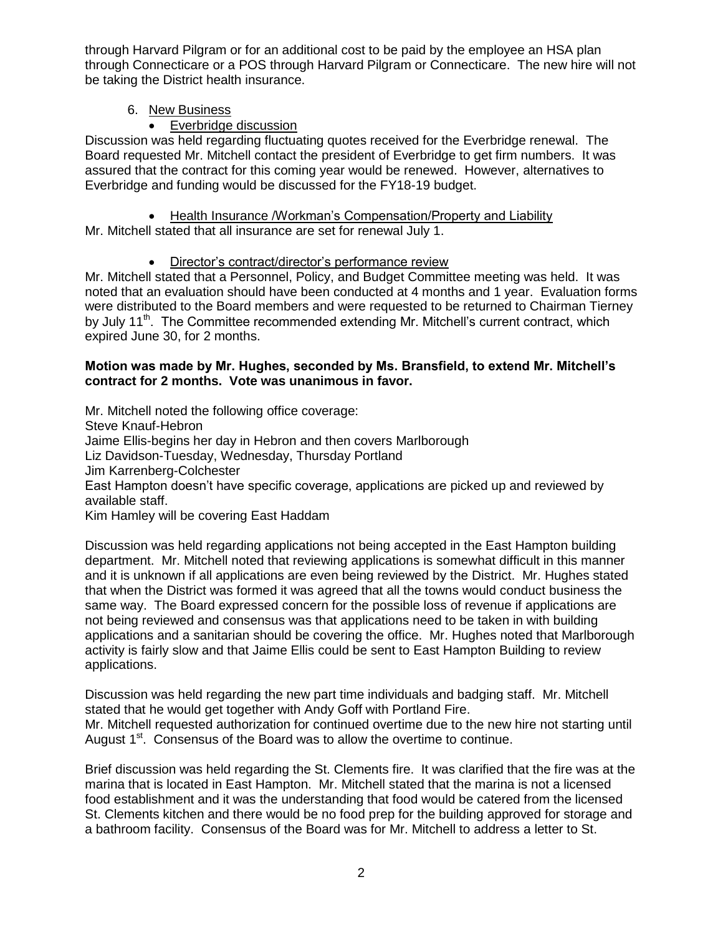through Harvard Pilgram or for an additional cost to be paid by the employee an HSA plan through Connecticare or a POS through Harvard Pilgram or Connecticare. The new hire will not be taking the District health insurance.

# 6. New Business

Everbridge discussion

Discussion was held regarding fluctuating quotes received for the Everbridge renewal. The Board requested Mr. Mitchell contact the president of Everbridge to get firm numbers. It was assured that the contract for this coming year would be renewed. However, alternatives to Everbridge and funding would be discussed for the FY18-19 budget.

• Health Insurance /Workman's Compensation/Property and Liability Mr. Mitchell stated that all insurance are set for renewal July 1.

Director's contract/director's performance review

Mr. Mitchell stated that a Personnel, Policy, and Budget Committee meeting was held. It was noted that an evaluation should have been conducted at 4 months and 1 year. Evaluation forms were distributed to the Board members and were requested to be returned to Chairman Tierney by July 11<sup>th</sup>. The Committee recommended extending Mr. Mitchell's current contract, which expired June 30, for 2 months.

## **Motion was made by Mr. Hughes, seconded by Ms. Bransfield, to extend Mr. Mitchell's contract for 2 months. Vote was unanimous in favor.**

Mr. Mitchell noted the following office coverage: Steve Knauf-Hebron Jaime Ellis-begins her day in Hebron and then covers Marlborough Liz Davidson-Tuesday, Wednesday, Thursday Portland Jim Karrenberg-Colchester East Hampton doesn't have specific coverage, applications are picked up and reviewed by available staff. Kim Hamley will be covering East Haddam

Discussion was held regarding applications not being accepted in the East Hampton building department. Mr. Mitchell noted that reviewing applications is somewhat difficult in this manner and it is unknown if all applications are even being reviewed by the District. Mr. Hughes stated that when the District was formed it was agreed that all the towns would conduct business the same way. The Board expressed concern for the possible loss of revenue if applications are not being reviewed and consensus was that applications need to be taken in with building applications and a sanitarian should be covering the office. Mr. Hughes noted that Marlborough activity is fairly slow and that Jaime Ellis could be sent to East Hampton Building to review applications.

Discussion was held regarding the new part time individuals and badging staff. Mr. Mitchell stated that he would get together with Andy Goff with Portland Fire. Mr. Mitchell requested authorization for continued overtime due to the new hire not starting until August  $1<sup>st</sup>$ . Consensus of the Board was to allow the overtime to continue.

Brief discussion was held regarding the St. Clements fire. It was clarified that the fire was at the marina that is located in East Hampton. Mr. Mitchell stated that the marina is not a licensed food establishment and it was the understanding that food would be catered from the licensed St. Clements kitchen and there would be no food prep for the building approved for storage and a bathroom facility. Consensus of the Board was for Mr. Mitchell to address a letter to St.